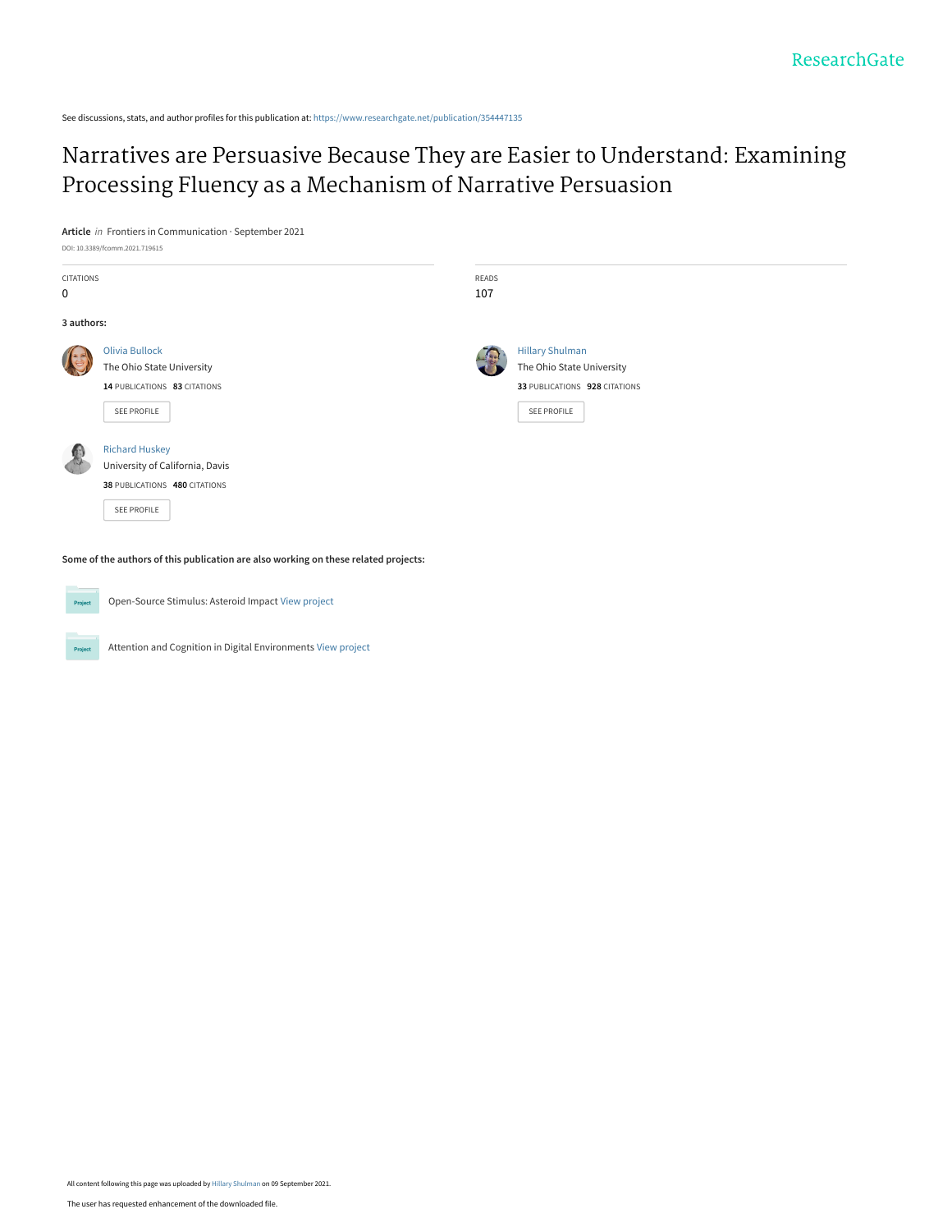See discussions, stats, and author profiles for this publication at: [https://www.researchgate.net/publication/354447135](https://www.researchgate.net/publication/354447135_Narratives_are_Persuasive_Because_They_are_Easier_to_Understand_Examining_Processing_Fluency_as_a_Mechanism_of_Narrative_Persuasion?enrichId=rgreq-b606bf14e0b9910943bea76d8403e527-XXX&enrichSource=Y292ZXJQYWdlOzM1NDQ0NzEzNTtBUzoxMDY2MTAyMDQxODc0NDMyQDE2MzExODk5NDIxNDI%3D&el=1_x_2&_esc=publicationCoverPdf)

[Narratives are Persuasive Because They are Easier to Understand: Examining](https://www.researchgate.net/publication/354447135_Narratives_are_Persuasive_Because_They_are_Easier_to_Understand_Examining_Processing_Fluency_as_a_Mechanism_of_Narrative_Persuasion?enrichId=rgreq-b606bf14e0b9910943bea76d8403e527-XXX&enrichSource=Y292ZXJQYWdlOzM1NDQ0NzEzNTtBUzoxMDY2MTAyMDQxODc0NDMyQDE2MzExODk5NDIxNDI%3D&el=1_x_3&_esc=publicationCoverPdf) Processing Fluency as a Mechanism of Narrative Persuasion

**Article** in Frontiers in Communication · September 2021

DOI: 10.3389/fcomm.2021.719615

| CITATIONS<br>$\mathbf 0$ |                                                                                                          | READS<br>107 |                                                                                                     |
|--------------------------|----------------------------------------------------------------------------------------------------------|--------------|-----------------------------------------------------------------------------------------------------|
| 3 authors:               |                                                                                                          |              |                                                                                                     |
|                          | <b>Olivia Bullock</b><br>The Ohio State University<br>14 PUBLICATIONS 83 CITATIONS<br>SEE PROFILE        |              | <b>Hillary Shulman</b><br>The Ohio State University<br>33 PUBLICATIONS 928 CITATIONS<br>SEE PROFILE |
|                          | <b>Richard Huskey</b><br>University of California, Davis<br>38 PUBLICATIONS 480 CITATIONS<br>SEE PROFILE |              |                                                                                                     |

**Some of the authors of this publication are also working on these related projects:**



Open-Source Stimulus: Asteroid Impact [View project](https://www.researchgate.net/project/Open-Source-Stimulus-Asteroid-Impact?enrichId=rgreq-b606bf14e0b9910943bea76d8403e527-XXX&enrichSource=Y292ZXJQYWdlOzM1NDQ0NzEzNTtBUzoxMDY2MTAyMDQxODc0NDMyQDE2MzExODk5NDIxNDI%3D&el=1_x_9&_esc=publicationCoverPdf)

Project Attention and Cognition in Digital Environments [View project](https://www.researchgate.net/project/Attention-and-Cognition-in-Digital-Environments?enrichId=rgreq-b606bf14e0b9910943bea76d8403e527-XXX&enrichSource=Y292ZXJQYWdlOzM1NDQ0NzEzNTtBUzoxMDY2MTAyMDQxODc0NDMyQDE2MzExODk5NDIxNDI%3D&el=1_x_9&_esc=publicationCoverPdf)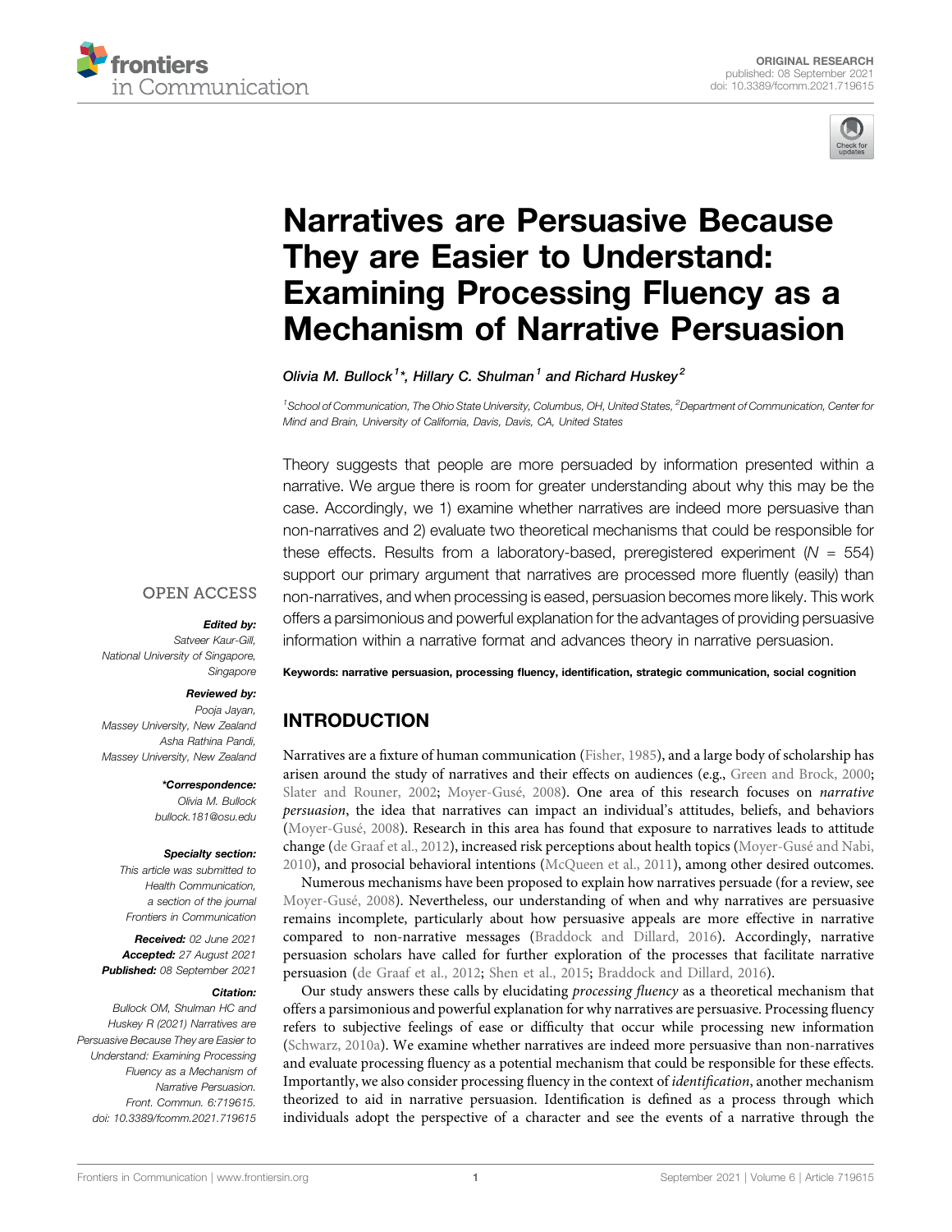



# Narratives are Persuasive Because They are Easier to Understand: Examining Processing Fluency as a Mechanism of Narrative Persuasion

Olivia M. Bullock<sup>1\*</sup>, Hillary C. Shulman<sup>1</sup> and Richard Huskey<sup>2</sup>

<sup>1</sup> School of Communication, The Ohio State University, Columbus, OH, United States, <sup>2</sup>Department of Communication, Center for Mind and Brain, University of California, Davis, Davis, CA, United States

Theory suggests that people are more persuaded by information presented within a narrative. We argue there is room for greater understanding about why this may be the case. Accordingly, we 1) examine whether narratives are indeed more persuasive than non-narratives and 2) evaluate two theoretical mechanisms that could be responsible for these effects. Results from a laboratory-based, preregistered experiment ( $N = 554$ ) support our primary argument that narratives are processed more fluently (easily) than non-narratives, and when processing is eased, persuasion becomes more likely. This work offers a parsimonious and powerful explanation for the advantages of providing persuasive information within a narrative format and advances theory in narrative persuasion.

#### **OPEN ACCESS**

#### Edited by:

Satveer Kaur-Gill, National University of Singapore, Singapore

#### Reviewed by:

Pooja Jayan, Massey University, New Zealand Asha Rathina Pandi, Massey University, New Zealand

> \*Correspondence: Olivia M. Bullock bullock.181@osu.edu

#### Specialty section:

This article was submitted to Health Communication, a section of the journal Frontiers in Communication

Received: 02 June 2021 Accepted: 27 August 2021 Published: 08 September 2021

#### Citation:

Bullock OM, Shulman HC and Huskey R (2021) Narratives are Persuasive Because They are Easier to Understand: Examining Processing Fluency as a Mechanism of Narrative Persuasion. Front. Commun. 6:719615. doi: 10.3389/fcomm.2021.719615

Keywords: narrative persuasion, processing fluency, identification, strategic communication, social cognition

# INTRODUCTION

Narratives are a fixture of human communication (Fisher, 1985), and a large body of scholarship has arisen around the study of narratives and their effects on audiences (e.g., Green and Brock, 2000; Slater and Rouner, 2002; Moyer-Gusé, 2008). One area of this research focuses on narrative persuasion, the idea that narratives can impact an individual's attitudes, beliefs, and behaviors (Moyer-Gusé, 2008). Research in this area has found that exposure to narratives leads to attitude change (de Graaf et al., 2012), increased risk perceptions about health topics (Moyer-Gusé and Nabi, 2010), and prosocial behavioral intentions (McQueen et al., 2011), among other desired outcomes.

Numerous mechanisms have been proposed to explain how narratives persuade (for a review, see Moyer-Gusé, 2008). Nevertheless, our understanding of when and why narratives are persuasive remains incomplete, particularly about how persuasive appeals are more effective in narrative compared to non-narrative messages (Braddock and Dillard, 2016). Accordingly, narrative persuasion scholars have called for further exploration of the processes that facilitate narrative persuasion (de Graaf et al., 2012; Shen et al., 2015; Braddock and Dillard, 2016).

Our study answers these calls by elucidating processing fluency as a theoretical mechanism that offers a parsimonious and powerful explanation for why narratives are persuasive. Processing fluency refers to subjective feelings of ease or difficulty that occur while processing new information (Schwarz, 2010a). We examine whether narratives are indeed more persuasive than non-narratives and evaluate processing fluency as a potential mechanism that could be responsible for these effects. Importantly, we also consider processing fluency in the context of identification, another mechanism theorized to aid in narrative persuasion. Identification is defined as a process through which individuals adopt the perspective of a character and see the events of a narrative through the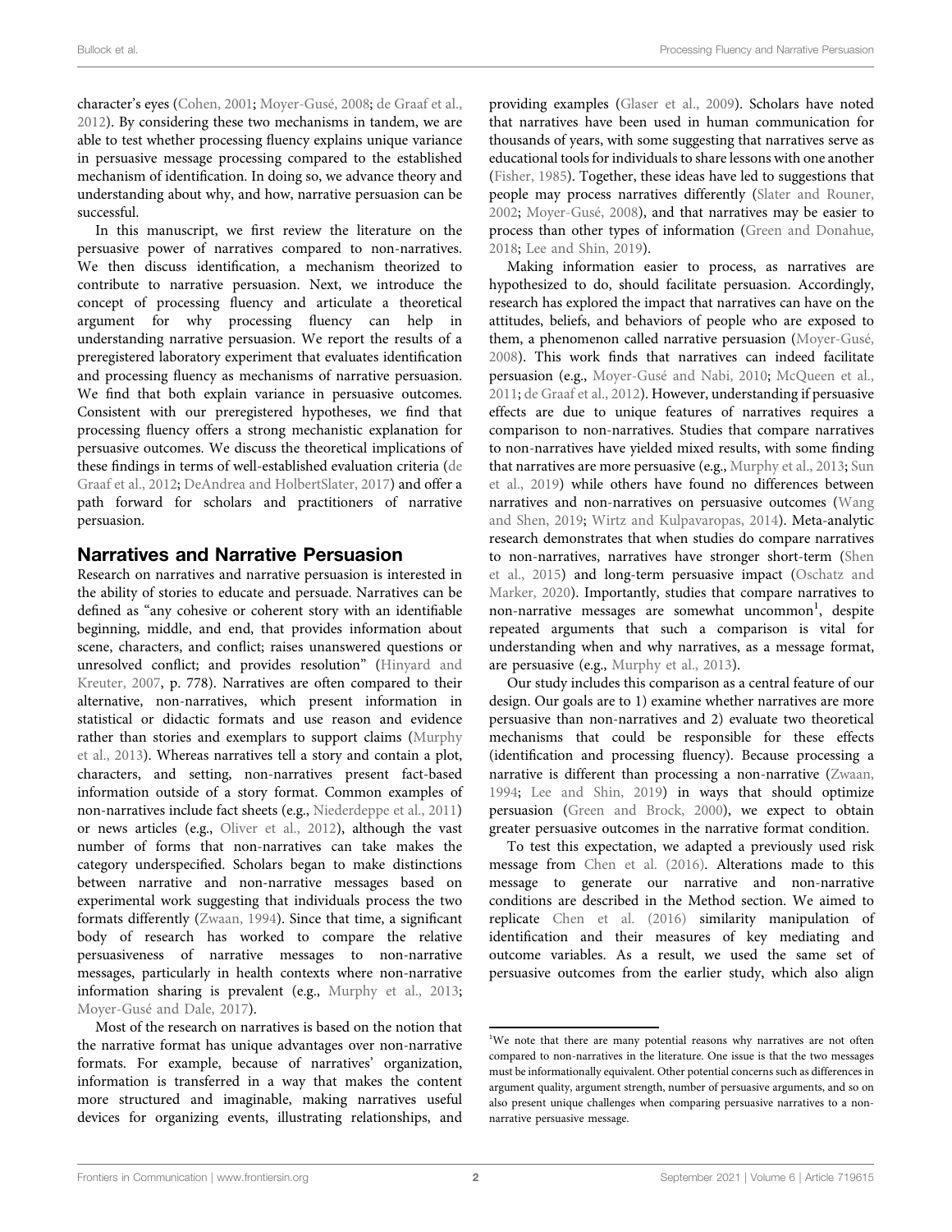character's eyes (Cohen, 2001; Moyer-Gusé, 2008; de Graaf et al., 2012). By considering these two mechanisms in tandem, we are able to test whether processing fluency explains unique variance in persuasive message processing compared to the established mechanism of identification. In doing so, we advance theory and understanding about why, and how, narrative persuasion can be successful.

In this manuscript, we first review the literature on the persuasive power of narratives compared to non-narratives. We then discuss identification, a mechanism theorized to contribute to narrative persuasion. Next, we introduce the concept of processing fluency and articulate a theoretical argument for why processing fluency can help in understanding narrative persuasion. We report the results of a preregistered laboratory experiment that evaluates identification and processing fluency as mechanisms of narrative persuasion. We find that both explain variance in persuasive outcomes. Consistent with our preregistered hypotheses, we find that processing fluency offers a strong mechanistic explanation for persuasive outcomes. We discuss the theoretical implications of these findings in terms of well-established evaluation criteria (de Graaf et al., 2012; DeAndrea and HolbertSlater, 2017) and offer a path forward for scholars and practitioners of narrative persuasion.

# Narratives and Narrative Persuasion

Research on narratives and narrative persuasion is interested in the ability of stories to educate and persuade. Narratives can be defined as "any cohesive or coherent story with an identifiable beginning, middle, and end, that provides information about scene, characters, and conflict; raises unanswered questions or unresolved conflict; and provides resolution" (Hinyard and Kreuter, 2007, p. 778). Narratives are often compared to their alternative, non-narratives, which present information in statistical or didactic formats and use reason and evidence rather than stories and exemplars to support claims (Murphy et al., 2013). Whereas narratives tell a story and contain a plot, characters, and setting, non-narratives present fact-based information outside of a story format. Common examples of non-narratives include fact sheets (e.g., Niederdeppe et al., 2011) or news articles (e.g., Oliver et al., 2012), although the vast number of forms that non-narratives can take makes the category underspecified. Scholars began to make distinctions between narrative and non-narrative messages based on experimental work suggesting that individuals process the two formats differently (Zwaan, 1994). Since that time, a significant body of research has worked to compare the relative persuasiveness of narrative messages to non-narrative messages, particularly in health contexts where non-narrative information sharing is prevalent (e.g., Murphy et al., 2013; Moyer-Gusé and Dale, 2017).

Most of the research on narratives is based on the notion that the narrative format has unique advantages over non-narrative formats. For example, because of narratives' organization, information is transferred in a way that makes the content more structured and imaginable, making narratives useful devices for organizing events, illustrating relationships, and

providing examples (Glaser et al., 2009). Scholars have noted that narratives have been used in human communication for thousands of years, with some suggesting that narratives serve as educational tools for individuals to share lessons with one another (Fisher, 1985). Together, these ideas have led to suggestions that people may process narratives differently (Slater and Rouner, 2002; Moyer-Gusé, 2008), and that narratives may be easier to process than other types of information (Green and Donahue, 2018; Lee and Shin, 2019).

Making information easier to process, as narratives are hypothesized to do, should facilitate persuasion. Accordingly, research has explored the impact that narratives can have on the attitudes, beliefs, and behaviors of people who are exposed to them, a phenomenon called narrative persuasion (Moyer-Gusé, 2008). This work finds that narratives can indeed facilitate persuasion (e.g., Moyer-Gusé and Nabi, 2010; McQueen et al., 2011; de Graaf et al., 2012). However, understanding if persuasive effects are due to unique features of narratives requires a comparison to non-narratives. Studies that compare narratives to non-narratives have yielded mixed results, with some finding that narratives are more persuasive (e.g., Murphy et al., 2013; Sun et al., 2019) while others have found no differences between narratives and non-narratives on persuasive outcomes (Wang and Shen, 2019; Wirtz and Kulpavaropas, 2014). Meta-analytic research demonstrates that when studies do compare narratives to non-narratives, narratives have stronger short-term (Shen et al., 2015) and long-term persuasive impact (Oschatz and Marker, 2020). Importantly, studies that compare narratives to non-narrative messages are somewhat uncommon<sup>1</sup>, despite repeated arguments that such a comparison is vital for understanding when and why narratives, as a message format, are persuasive (e.g., Murphy et al., 2013).

Our study includes this comparison as a central feature of our design. Our goals are to 1) examine whether narratives are more persuasive than non-narratives and 2) evaluate two theoretical mechanisms that could be responsible for these effects (identification and processing fluency). Because processing a narrative is different than processing a non-narrative (Zwaan, 1994; Lee and Shin, 2019) in ways that should optimize persuasion (Green and Brock, 2000), we expect to obtain greater persuasive outcomes in the narrative format condition.

To test this expectation, we adapted a previously used risk message from Chen et al. (2016). Alterations made to this message to generate our narrative and non-narrative conditions are described in the Method section. We aimed to replicate Chen et al. (2016) similarity manipulation of identification and their measures of key mediating and outcome variables. As a result, we used the same set of persuasive outcomes from the earlier study, which also align

<sup>&</sup>lt;sup>1</sup>We note that there are many potential reasons why narratives are not often compared to non-narratives in the literature. One issue is that the two messages must be informationally equivalent. Other potential concerns such as differences in argument quality, argument strength, number of persuasive arguments, and so on also present unique challenges when comparing persuasive narratives to a nonnarrative persuasive message.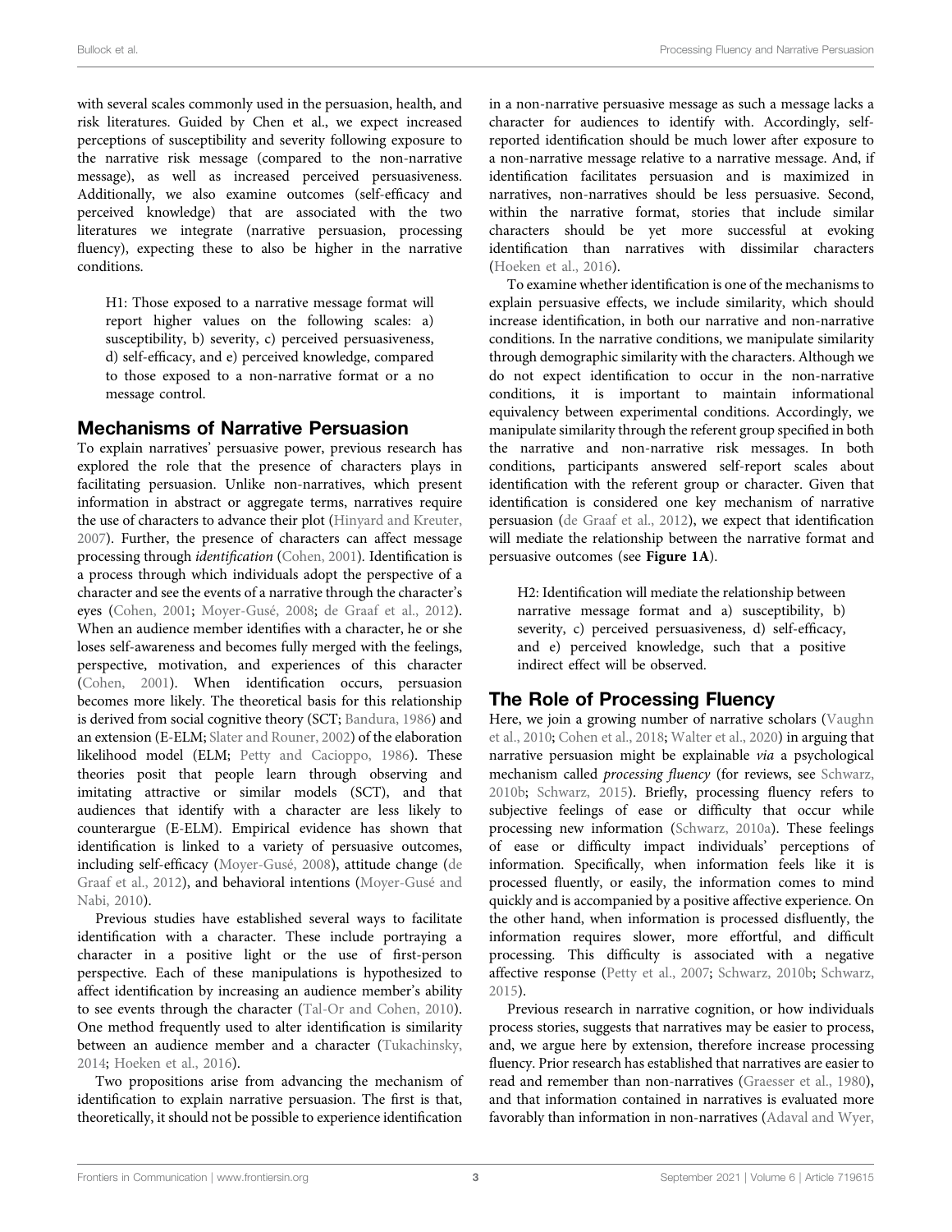with several scales commonly used in the persuasion, health, and risk literatures. Guided by Chen et al., we expect increased perceptions of susceptibility and severity following exposure to the narrative risk message (compared to the non-narrative message), as well as increased perceived persuasiveness. Additionally, we also examine outcomes (self-efficacy and perceived knowledge) that are associated with the two literatures we integrate (narrative persuasion, processing fluency), expecting these to also be higher in the narrative conditions.

H1: Those exposed to a narrative message format will report higher values on the following scales: a) susceptibility, b) severity, c) perceived persuasiveness, d) self-efficacy, and e) perceived knowledge, compared to those exposed to a non-narrative format or a no message control.

### Mechanisms of Narrative Persuasion

To explain narratives' persuasive power, previous research has explored the role that the presence of characters plays in facilitating persuasion. Unlike non-narratives, which present information in abstract or aggregate terms, narratives require the use of characters to advance their plot (Hinyard and Kreuter, 2007). Further, the presence of characters can affect message processing through identification (Cohen, 2001). Identification is a process through which individuals adopt the perspective of a character and see the events of a narrative through the character's eyes (Cohen, 2001; Moyer-Gusé, 2008; de Graaf et al., 2012). When an audience member identifies with a character, he or she loses self-awareness and becomes fully merged with the feelings, perspective, motivation, and experiences of this character (Cohen, 2001). When identification occurs, persuasion becomes more likely. The theoretical basis for this relationship is derived from social cognitive theory (SCT; Bandura, 1986) and an extension (E-ELM; Slater and Rouner, 2002) of the elaboration likelihood model (ELM; Petty and Cacioppo, 1986). These theories posit that people learn through observing and imitating attractive or similar models (SCT), and that audiences that identify with a character are less likely to counterargue (E-ELM). Empirical evidence has shown that identification is linked to a variety of persuasive outcomes, including self-efficacy (Moyer-Gusé, 2008), attitude change (de Graaf et al., 2012), and behavioral intentions (Moyer-Gusé and Nabi, 2010).

Previous studies have established several ways to facilitate identification with a character. These include portraying a character in a positive light or the use of first-person perspective. Each of these manipulations is hypothesized to affect identification by increasing an audience member's ability to see events through the character (Tal-Or and Cohen, 2010). One method frequently used to alter identification is similarity between an audience member and a character (Tukachinsky, 2014; Hoeken et al., 2016).

Two propositions arise from advancing the mechanism of identification to explain narrative persuasion. The first is that, theoretically, it should not be possible to experience identification

in a non-narrative persuasive message as such a message lacks a character for audiences to identify with. Accordingly, selfreported identification should be much lower after exposure to a non-narrative message relative to a narrative message. And, if identification facilitates persuasion and is maximized in narratives, non-narratives should be less persuasive. Second, within the narrative format, stories that include similar characters should be yet more successful at evoking identification than narratives with dissimilar characters (Hoeken et al., 2016).

To examine whether identification is one of the mechanisms to explain persuasive effects, we include similarity, which should increase identification, in both our narrative and non-narrative conditions. In the narrative conditions, we manipulate similarity through demographic similarity with the characters. Although we do not expect identification to occur in the non-narrative conditions, it is important to maintain informational equivalency between experimental conditions. Accordingly, we manipulate similarity through the referent group specified in both the narrative and non-narrative risk messages. In both conditions, participants answered self-report scales about identification with the referent group or character. Given that identification is considered one key mechanism of narrative persuasion (de Graaf et al., 2012), we expect that identification will mediate the relationship between the narrative format and persuasive outcomes (see Figure 1A).

H2: Identification will mediate the relationship between narrative message format and a) susceptibility, b) severity, c) perceived persuasiveness, d) self-efficacy, and e) perceived knowledge, such that a positive indirect effect will be observed.

# The Role of Processing Fluency

Here, we join a growing number of narrative scholars (Vaughn et al., 2010; Cohen et al., 2018; Walter et al., 2020) in arguing that narrative persuasion might be explainable via a psychological mechanism called processing fluency (for reviews, see Schwarz, 2010b; Schwarz, 2015). Briefly, processing fluency refers to subjective feelings of ease or difficulty that occur while processing new information (Schwarz, 2010a). These feelings of ease or difficulty impact individuals' perceptions of information. Specifically, when information feels like it is processed fluently, or easily, the information comes to mind quickly and is accompanied by a positive affective experience. On the other hand, when information is processed disfluently, the information requires slower, more effortful, and difficult processing. This difficulty is associated with a negative affective response (Petty et al., 2007; Schwarz, 2010b; Schwarz, 2015).

Previous research in narrative cognition, or how individuals process stories, suggests that narratives may be easier to process, and, we argue here by extension, therefore increase processing fluency. Prior research has established that narratives are easier to read and remember than non-narratives (Graesser et al., 1980), and that information contained in narratives is evaluated more favorably than information in non-narratives (Adaval and Wyer,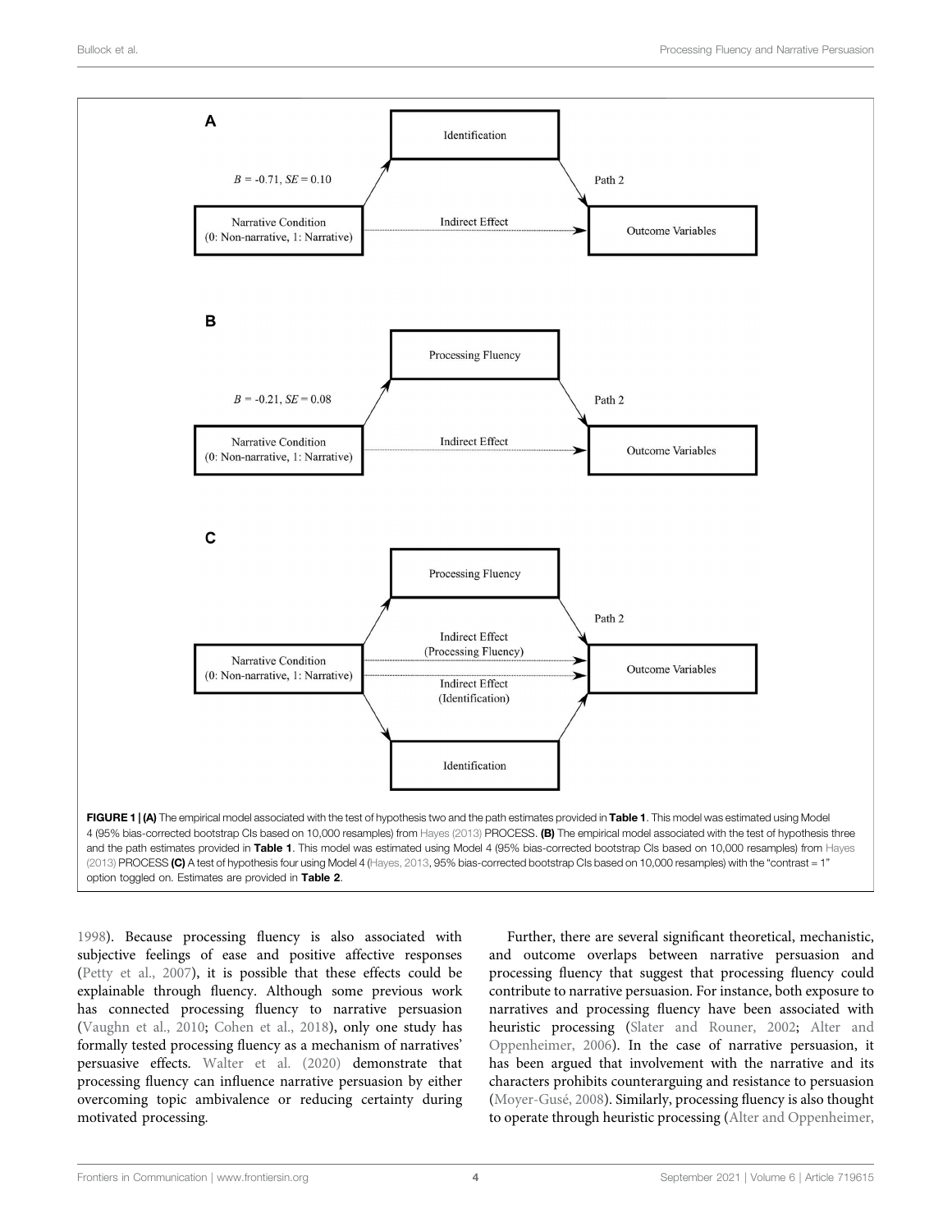

1998). Because processing fluency is also associated with subjective feelings of ease and positive affective responses (Petty et al., 2007), it is possible that these effects could be explainable through fluency. Although some previous work has connected processing fluency to narrative persuasion (Vaughn et al., 2010; Cohen et al., 2018), only one study has formally tested processing fluency as a mechanism of narratives' persuasive effects. Walter et al. (2020) demonstrate that processing fluency can influence narrative persuasion by either overcoming topic ambivalence or reducing certainty during motivated processing.

Further, there are several significant theoretical, mechanistic, and outcome overlaps between narrative persuasion and processing fluency that suggest that processing fluency could contribute to narrative persuasion. For instance, both exposure to narratives and processing fluency have been associated with heuristic processing (Slater and Rouner, 2002; Alter and Oppenheimer, 2006). In the case of narrative persuasion, it has been argued that involvement with the narrative and its characters prohibits counterarguing and resistance to persuasion (Moyer-Gusé, 2008). Similarly, processing fluency is also thought to operate through heuristic processing (Alter and Oppenheimer,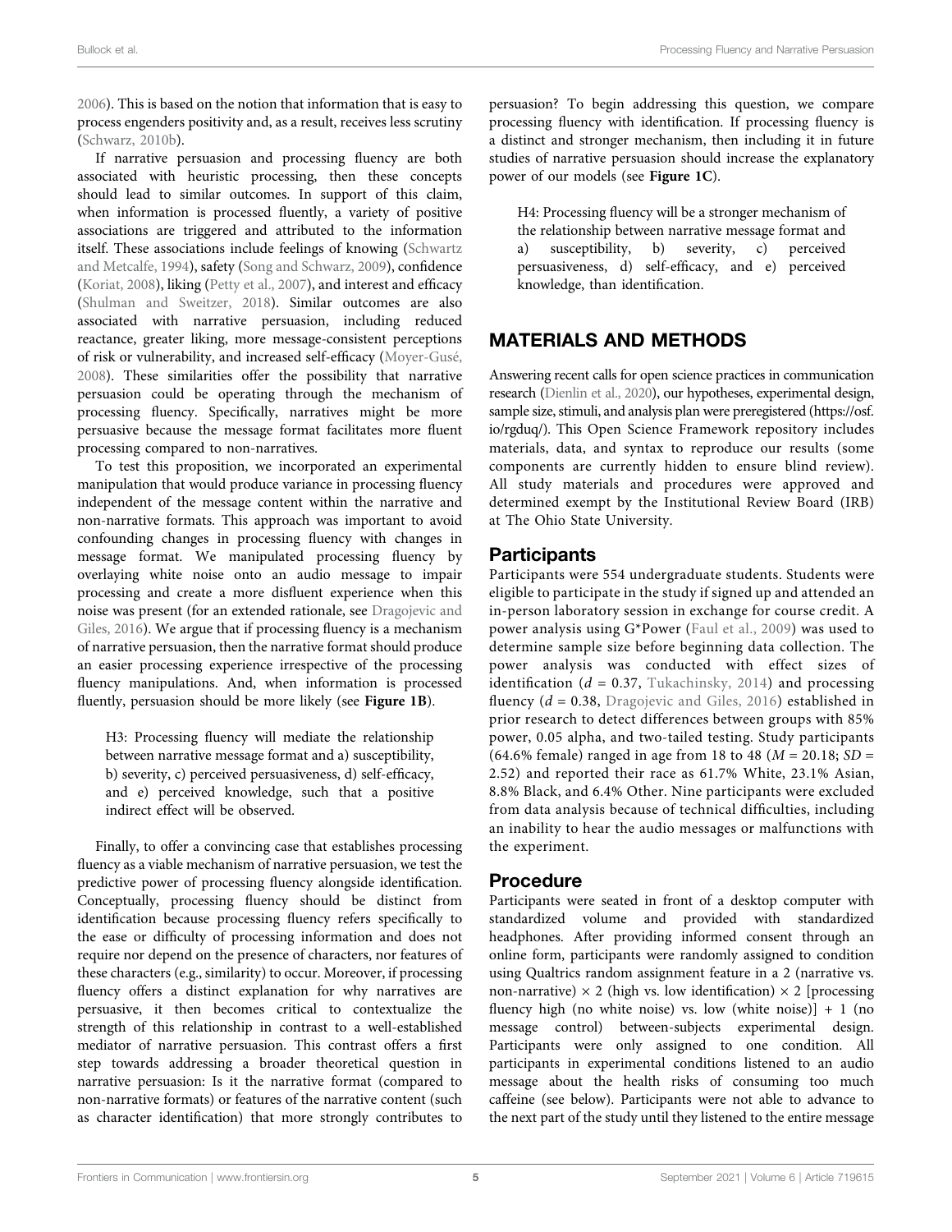2006). This is based on the notion that information that is easy to process engenders positivity and, as a result, receives less scrutiny (Schwarz, 2010b).

If narrative persuasion and processing fluency are both associated with heuristic processing, then these concepts should lead to similar outcomes. In support of this claim, when information is processed fluently, a variety of positive associations are triggered and attributed to the information itself. These associations include feelings of knowing (Schwartz and Metcalfe, 1994), safety (Song and Schwarz, 2009), confidence (Koriat, 2008), liking (Petty et al., 2007), and interest and efficacy (Shulman and Sweitzer, 2018). Similar outcomes are also associated with narrative persuasion, including reduced reactance, greater liking, more message-consistent perceptions of risk or vulnerability, and increased self-efficacy (Moyer-Gusé, 2008). These similarities offer the possibility that narrative persuasion could be operating through the mechanism of processing fluency. Specifically, narratives might be more persuasive because the message format facilitates more fluent processing compared to non-narratives.

To test this proposition, we incorporated an experimental manipulation that would produce variance in processing fluency independent of the message content within the narrative and non-narrative formats. This approach was important to avoid confounding changes in processing fluency with changes in message format. We manipulated processing fluency by overlaying white noise onto an audio message to impair processing and create a more disfluent experience when this noise was present (for an extended rationale, see Dragojevic and Giles, 2016). We argue that if processing fluency is a mechanism of narrative persuasion, then the narrative format should produce an easier processing experience irrespective of the processing fluency manipulations. And, when information is processed fluently, persuasion should be more likely (see Figure 1B).

H3: Processing fluency will mediate the relationship between narrative message format and a) susceptibility, b) severity, c) perceived persuasiveness, d) self-efficacy, and e) perceived knowledge, such that a positive indirect effect will be observed.

Finally, to offer a convincing case that establishes processing fluency as a viable mechanism of narrative persuasion, we test the predictive power of processing fluency alongside identification. Conceptually, processing fluency should be distinct from identification because processing fluency refers specifically to the ease or difficulty of processing information and does not require nor depend on the presence of characters, nor features of these characters (e.g., similarity) to occur. Moreover, if processing fluency offers a distinct explanation for why narratives are persuasive, it then becomes critical to contextualize the strength of this relationship in contrast to a well-established mediator of narrative persuasion. This contrast offers a first step towards addressing a broader theoretical question in narrative persuasion: Is it the narrative format (compared to non-narrative formats) or features of the narrative content (such as character identification) that more strongly contributes to

persuasion? To begin addressing this question, we compare processing fluency with identification. If processing fluency is a distinct and stronger mechanism, then including it in future studies of narrative persuasion should increase the explanatory power of our models (see Figure 1C).

H4: Processing fluency will be a stronger mechanism of the relationship between narrative message format and a) susceptibility, b) severity, c) perceived persuasiveness, d) self-efficacy, and e) perceived knowledge, than identification.

# MATERIALS AND METHODS

Answering recent calls for open science practices in communication research (Dienlin et al., 2020), our hypotheses, experimental design, sample size, stimuli, and analysis plan were preregistered (https://osf. io/rgduq/). This Open Science Framework repository includes materials, data, and syntax to reproduce our results (some components are currently hidden to ensure blind review). All study materials and procedures were approved and determined exempt by the Institutional Review Board (IRB) at The Ohio State University.

# **Participants**

Participants were 554 undergraduate students. Students were eligible to participate in the study if signed up and attended an in-person laboratory session in exchange for course credit. A power analysis using G\*Power (Faul et al., 2009) was used to determine sample size before beginning data collection. The power analysis was conducted with effect sizes of identification ( $d = 0.37$ , Tukachinsky, 2014) and processing fluency ( $d = 0.38$ , Dragojevic and Giles, 2016) established in prior research to detect differences between groups with 85% power, 0.05 alpha, and two-tailed testing. Study participants (64.6% female) ranged in age from 18 to 48 ( $M = 20.18$ ; SD = 2.52) and reported their race as 61.7% White, 23.1% Asian, 8.8% Black, and 6.4% Other. Nine participants were excluded from data analysis because of technical difficulties, including an inability to hear the audio messages or malfunctions with the experiment.

# Procedure

Participants were seated in front of a desktop computer with standardized volume and provided with standardized headphones. After providing informed consent through an online form, participants were randomly assigned to condition using Qualtrics random assignment feature in a 2 (narrative vs. non-narrative)  $\times$  2 (high vs. low identification)  $\times$  2 [processing fluency high (no white noise) vs. low (white noise)]  $+ 1$  (no message control) between-subjects experimental design. Participants were only assigned to one condition. All participants in experimental conditions listened to an audio message about the health risks of consuming too much caffeine (see below). Participants were not able to advance to the next part of the study until they listened to the entire message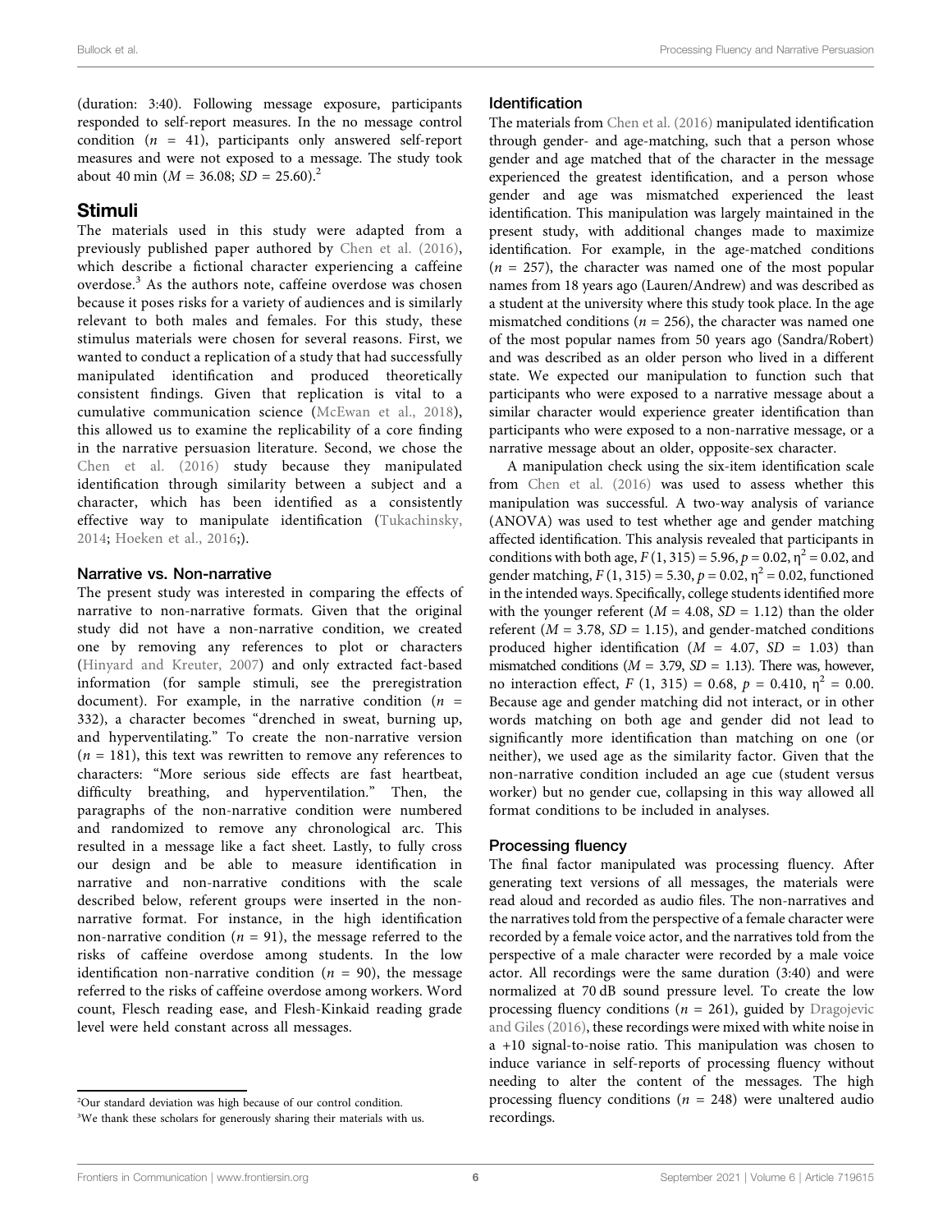(duration: 3:40). Following message exposure, participants responded to self-report measures. In the no message control condition  $(n = 41)$ , participants only answered self-report measures and were not exposed to a message. The study took about 40 min ( $M = 36.08$ ;  $SD = 25.60$ ).<sup>2</sup>

### Stimuli

The materials used in this study were adapted from a previously published paper authored by Chen et al. (2016), which describe a fictional character experiencing a caffeine overdose.<sup>3</sup> As the authors note, caffeine overdose was chosen because it poses risks for a variety of audiences and is similarly relevant to both males and females. For this study, these stimulus materials were chosen for several reasons. First, we wanted to conduct a replication of a study that had successfully manipulated identification and produced theoretically consistent findings. Given that replication is vital to a cumulative communication science (McEwan et al., 2018), this allowed us to examine the replicability of a core finding in the narrative persuasion literature. Second, we chose the Chen et al. (2016) study because they manipulated identification through similarity between a subject and a character, which has been identified as a consistently effective way to manipulate identification (Tukachinsky, 2014; Hoeken et al., 2016;).

### Narrative vs. Non-narrative

The present study was interested in comparing the effects of narrative to non-narrative formats. Given that the original study did not have a non-narrative condition, we created one by removing any references to plot or characters (Hinyard and Kreuter, 2007) and only extracted fact-based information (for sample stimuli, see the preregistration document). For example, in the narrative condition ( $n =$ 332), a character becomes "drenched in sweat, burning up, and hyperventilating." To create the non-narrative version  $(n = 181)$ , this text was rewritten to remove any references to characters: "More serious side effects are fast heartbeat, difficulty breathing, and hyperventilation." Then, the paragraphs of the non-narrative condition were numbered and randomized to remove any chronological arc. This resulted in a message like a fact sheet. Lastly, to fully cross our design and be able to measure identification in narrative and non-narrative conditions with the scale described below, referent groups were inserted in the nonnarrative format. For instance, in the high identification non-narrative condition ( $n = 91$ ), the message referred to the risks of caffeine overdose among students. In the low identification non-narrative condition ( $n = 90$ ), the message referred to the risks of caffeine overdose among workers. Word count, Flesch reading ease, and Flesh-Kinkaid reading grade level were held constant across all messages.

### Identification

The materials from Chen et al. (2016) manipulated identification through gender- and age-matching, such that a person whose gender and age matched that of the character in the message experienced the greatest identification, and a person whose gender and age was mismatched experienced the least identification. This manipulation was largely maintained in the present study, with additional changes made to maximize identification. For example, in the age-matched conditions  $(n = 257)$ , the character was named one of the most popular names from 18 years ago (Lauren/Andrew) and was described as a student at the university where this study took place. In the age mismatched conditions ( $n = 256$ ), the character was named one of the most popular names from 50 years ago (Sandra/Robert) and was described as an older person who lived in a different state. We expected our manipulation to function such that participants who were exposed to a narrative message about a similar character would experience greater identification than participants who were exposed to a non-narrative message, or a narrative message about an older, opposite-sex character.

A manipulation check using the six-item identification scale from Chen et al. (2016) was used to assess whether this manipulation was successful. A two-way analysis of variance (ANOVA) was used to test whether age and gender matching affected identification. This analysis revealed that participants in conditions with both age,  $F(1, 315) = 5.96$ ,  $p = 0.02$ ,  $\eta^2 = 0.02$ , and gender matching,  $F(1, 315) = 5.30$ ,  $p = 0.02$ ,  $\eta^2 = 0.02$ , functioned in the intended ways. Specifically, college students identified more with the younger referent ( $M = 4.08$ ,  $SD = 1.12$ ) than the older referent ( $M = 3.78$ ,  $SD = 1.15$ ), and gender-matched conditions produced higher identification ( $M = 4.07$ ,  $SD = 1.03$ ) than mismatched conditions ( $M = 3.79$ ,  $SD = 1.13$ ). There was, however, no interaction effect,  $F(1, 315) = 0.68$ ,  $p = 0.410$ ,  $\eta^2 = 0.00$ . Because age and gender matching did not interact, or in other words matching on both age and gender did not lead to significantly more identification than matching on one (or neither), we used age as the similarity factor. Given that the non-narrative condition included an age cue (student versus worker) but no gender cue, collapsing in this way allowed all format conditions to be included in analyses.

### Processing fluency

The final factor manipulated was processing fluency. After generating text versions of all messages, the materials were read aloud and recorded as audio files. The non-narratives and the narratives told from the perspective of a female character were recorded by a female voice actor, and the narratives told from the perspective of a male character were recorded by a male voice actor. All recordings were the same duration (3:40) and were normalized at 70 dB sound pressure level. To create the low processing fluency conditions ( $n = 261$ ), guided by Dragojevic and Giles (2016), these recordings were mixed with white noise in a +10 signal-to-noise ratio. This manipulation was chosen to induce variance in self-reports of processing fluency without needing to alter the content of the messages. The high processing fluency conditions ( $n = 248$ ) were unaltered audio recordings.

<sup>2</sup> Our standard deviation was high because of our control condition. <sup>3</sup>We thank these scholars for generously sharing their materials with us.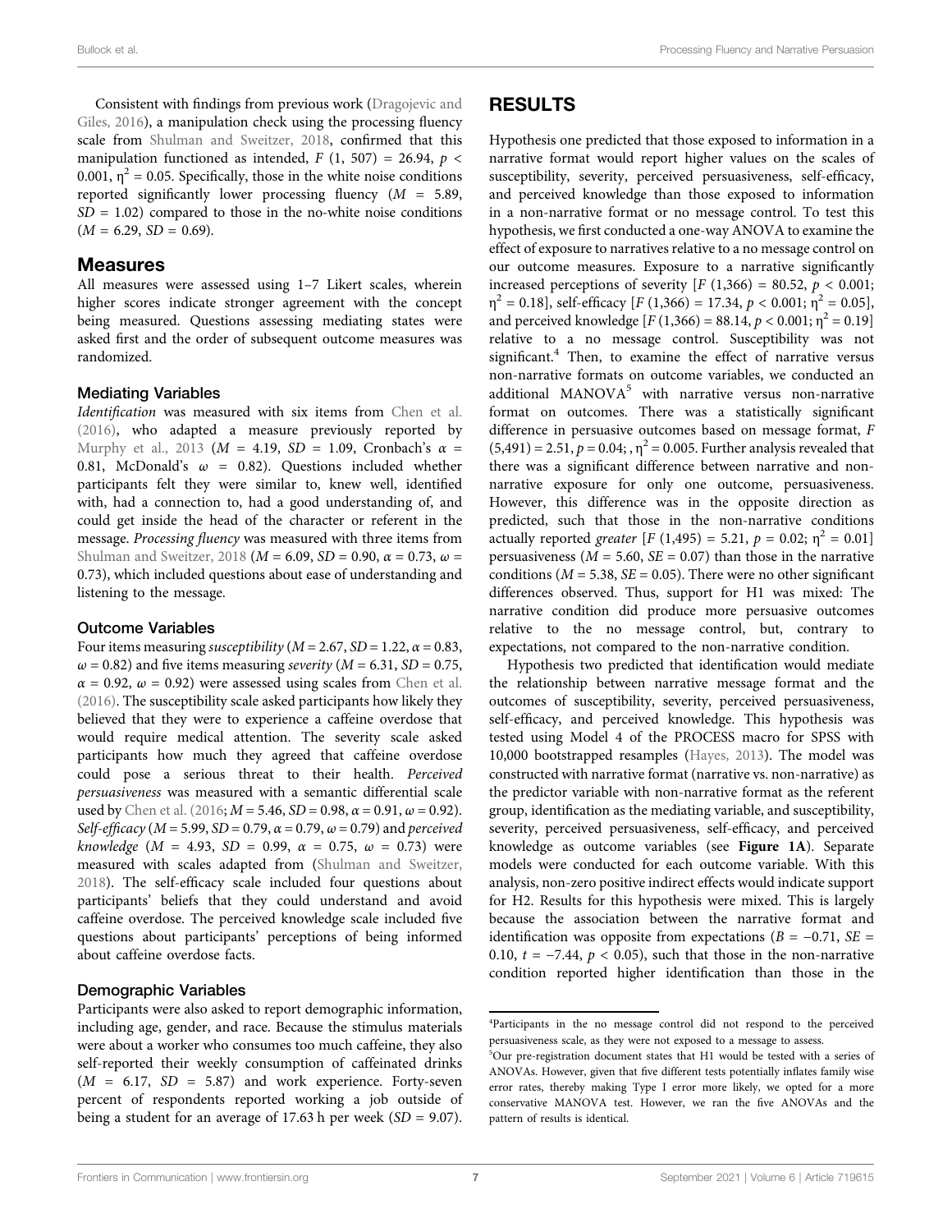Consistent with findings from previous work (Dragojevic and Giles, 2016), a manipulation check using the processing fluency scale from Shulman and Sweitzer, 2018, confirmed that this manipulation functioned as intended,  $F(1, 507) = 26.94$ ,  $p <$ 0.001,  $\eta^2$  = 0.05. Specifically, those in the white noise conditions reported significantly lower processing fluency  $(M = 5.89,$  $SD = 1.02$ ) compared to those in the no-white noise conditions  $(M = 6.29, SD = 0.69).$ 

#### Measures

All measures were assessed using 1–7 Likert scales, wherein higher scores indicate stronger agreement with the concept being measured. Questions assessing mediating states were asked first and the order of subsequent outcome measures was randomized.

#### Mediating Variables

Identification was measured with six items from Chen et al. (2016), who adapted a measure previously reported by Murphy et al., 2013 ( $M = 4.19$ ,  $SD = 1.09$ , Cronbach's  $\alpha =$ 0.81, McDonald's  $\omega = 0.82$ ). Questions included whether participants felt they were similar to, knew well, identified with, had a connection to, had a good understanding of, and could get inside the head of the character or referent in the message. Processing fluency was measured with three items from Shulman and Sweitzer, 2018 ( $M = 6.09$ ,  $SD = 0.90$ ,  $\alpha = 0.73$ ,  $\omega =$ 0.73), which included questions about ease of understanding and listening to the message.

#### Outcome Variables

Four items measuring *susceptibility* ( $M = 2.67$ ,  $SD = 1.22$ ,  $\alpha = 0.83$ ,  $\omega$  = 0.82) and five items measuring *severity* (*M* = 6.31, *SD* = 0.75,  $\alpha = 0.92$ ,  $\omega = 0.92$ ) were assessed using scales from Chen et al. (2016). The susceptibility scale asked participants how likely they believed that they were to experience a caffeine overdose that would require medical attention. The severity scale asked participants how much they agreed that caffeine overdose could pose a serious threat to their health. Perceived persuasiveness was measured with a semantic differential scale used by Chen et al. (2016;  $M = 5.46$ ,  $SD = 0.98$ ,  $\alpha = 0.91$ ,  $\omega = 0.92$ ). Self-efficacy ( $M = 5.99$ , SD = 0.79,  $\alpha = 0.79$ ,  $\omega = 0.79$ ) and perceived knowledge ( $M = 4.93$ ,  $SD = 0.99$ ,  $\alpha = 0.75$ ,  $\omega = 0.73$ ) were measured with scales adapted from (Shulman and Sweitzer, 2018). The self-efficacy scale included four questions about participants' beliefs that they could understand and avoid caffeine overdose. The perceived knowledge scale included five questions about participants' perceptions of being informed about caffeine overdose facts.

#### Demographic Variables

Participants were also asked to report demographic information, including age, gender, and race. Because the stimulus materials were about a worker who consumes too much caffeine, they also self-reported their weekly consumption of caffeinated drinks  $(M = 6.17, SD = 5.87)$  and work experience. Forty-seven percent of respondents reported working a job outside of being a student for an average of 17.63 h per week  $(SD = 9.07)$ .

### RESULTS

Hypothesis one predicted that those exposed to information in a narrative format would report higher values on the scales of susceptibility, severity, perceived persuasiveness, self-efficacy, and perceived knowledge than those exposed to information in a non-narrative format or no message control. To test this hypothesis, we first conducted a one-way ANOVA to examine the effect of exposure to narratives relative to a no message control on our outcome measures. Exposure to a narrative significantly increased perceptions of severity  $[F (1,366) = 80.52, p < 0.001;$  $\eta^2 = 0.18$ ], self-efficacy [F (1,366) = 17.34, p < 0.001;  $\eta^2 = 0.05$ ], and perceived knowledge  $[F(1,366) = 88.14, p < 0.001; \eta^2 = 0.19]$ relative to a no message control. Susceptibility was not significant. $4$  Then, to examine the effect of narrative versus non-narrative formats on outcome variables, we conducted an additional MANOV $A^5$  with narrative versus non-narrative format on outcomes. There was a statistically significant difference in persuasive outcomes based on message format, F  $(5,491) = 2.51, p = 0.04;$ ,  $\eta^2 = 0.005$ . Further analysis revealed that there was a significant difference between narrative and nonnarrative exposure for only one outcome, persuasiveness. However, this difference was in the opposite direction as predicted, such that those in the non-narrative conditions actually reported greater  $[F (1,495) = 5.21, p = 0.02; \eta^2 = 0.01]$ persuasiveness ( $M = 5.60$ ,  $SE = 0.07$ ) than those in the narrative conditions ( $M = 5.38$ ,  $SE = 0.05$ ). There were no other significant differences observed. Thus, support for H1 was mixed: The narrative condition did produce more persuasive outcomes relative to the no message control, but, contrary to expectations, not compared to the non-narrative condition.

Hypothesis two predicted that identification would mediate the relationship between narrative message format and the outcomes of susceptibility, severity, perceived persuasiveness, self-efficacy, and perceived knowledge. This hypothesis was tested using Model 4 of the PROCESS macro for SPSS with 10,000 bootstrapped resamples (Hayes, 2013). The model was constructed with narrative format (narrative vs. non-narrative) as the predictor variable with non-narrative format as the referent group, identification as the mediating variable, and susceptibility, severity, perceived persuasiveness, self-efficacy, and perceived knowledge as outcome variables (see Figure 1A). Separate models were conducted for each outcome variable. With this analysis, non-zero positive indirect effects would indicate support for H2. Results for this hypothesis were mixed. This is largely because the association between the narrative format and identification was opposite from expectations ( $B = -0.71$ ,  $SE =$ 0.10,  $t = -7.44$ ,  $p < 0.05$ ), such that those in the non-narrative condition reported higher identification than those in the

<sup>4</sup> Participants in the no message control did not respond to the perceived persuasiveness scale, as they were not exposed to a message to assess.

<sup>5</sup> Our pre-registration document states that H1 would be tested with a series of ANOVAs. However, given that five different tests potentially inflates family wise error rates, thereby making Type I error more likely, we opted for a more conservative MANOVA test. However, we ran the five ANOVAs and the pattern of results is identical.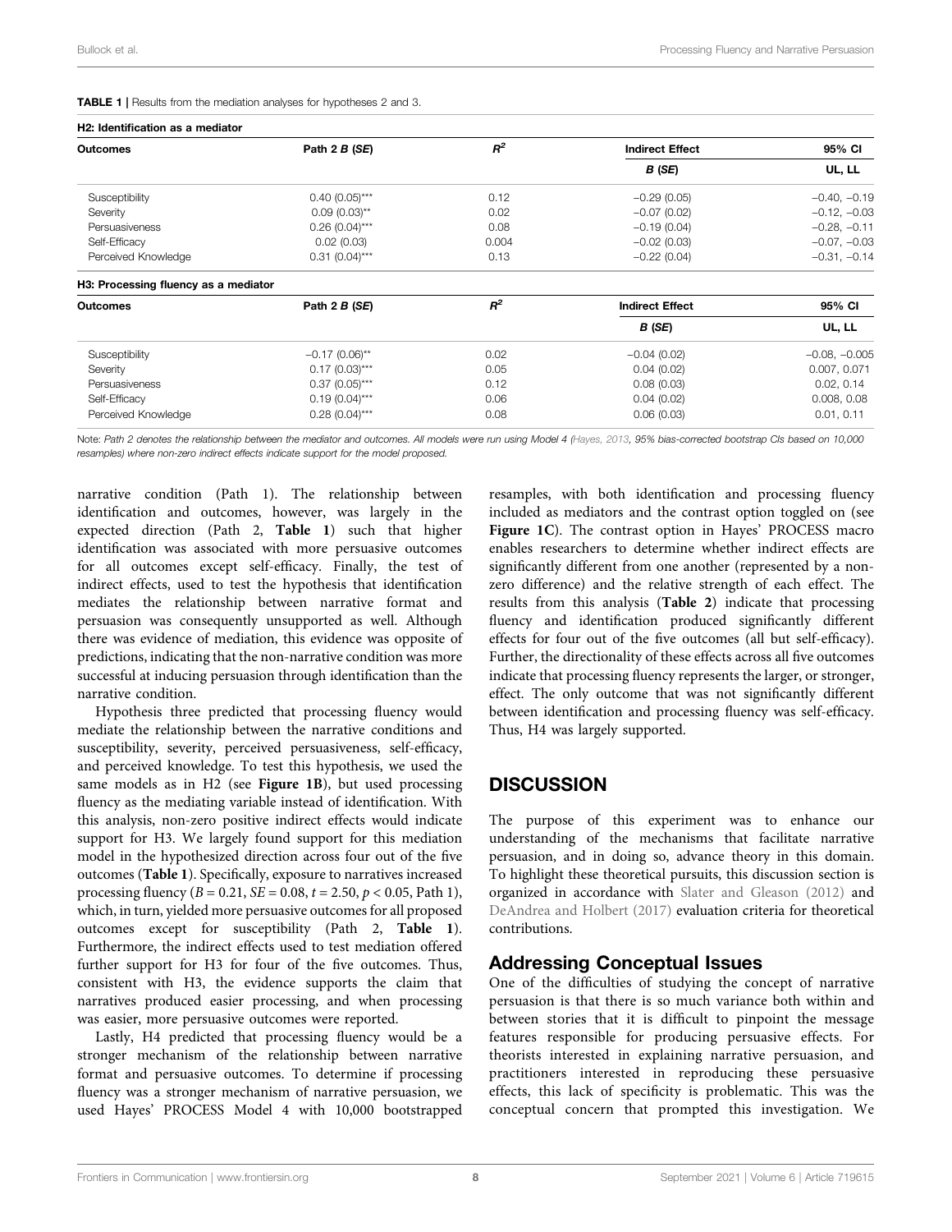TABLE 1 | Results from the mediation analyses for hypotheses 2 and 3.

| H2: Identification as a mediator     |                   |       |                        |                 |  |  |  |  |
|--------------------------------------|-------------------|-------|------------------------|-----------------|--|--|--|--|
| <b>Outcomes</b>                      | Path 2 B (SE)     | $R^2$ | <b>Indirect Effect</b> | 95% CI          |  |  |  |  |
|                                      |                   |       | B (SE)                 | UL, LL          |  |  |  |  |
| Susceptibility                       | $0.40(0.05)$ ***  | 0.12  | $-0.29(0.05)$          | $-0.40, -0.19$  |  |  |  |  |
| Severity                             | $0.09(0.03)$ **   | 0.02  | $-0.07(0.02)$          | $-0.12, -0.03$  |  |  |  |  |
| Persuasiveness<br>$0.26(0.04)***$    |                   | 0.08  | $-0.19(0.04)$          | $-0.28, -0.11$  |  |  |  |  |
| Self-Efficacy<br>0.02(0.03)          |                   | 0.004 | $-0.02(0.03)$          | $-0.07, -0.03$  |  |  |  |  |
| Perceived Knowledge                  | $0.31 (0.04)$ *** | 0.13  | $-0.22(0.04)$          | $-0.31, -0.14$  |  |  |  |  |
| H3: Processing fluency as a mediator |                   |       |                        |                 |  |  |  |  |
| <b>Outcomes</b>                      | Path 2 B (SE)     | $R^2$ | <b>Indirect Effect</b> | 95% CI          |  |  |  |  |
|                                      |                   |       | B(SE)                  | UL, LL          |  |  |  |  |
| Susceptibility                       | $-0.17(0.06)$ **  | 0.02  | $-0.04(0.02)$          | $-0.08, -0.005$ |  |  |  |  |
| Severity                             | $0.17(0.03)***$   | 0.05  | 0.04(0.02)             | 0.007, 0.071    |  |  |  |  |
| Persuasiveness                       | $0.37(0.05)***$   | 0.12  | 0.08(0.03)             | 0.02, 0.14      |  |  |  |  |
| Self-Efficacy                        | $0.19(0.04)***$   | 0.06  | 0.04(0.02)             | 0.008, 0.08     |  |  |  |  |
| Perceived Knowledge                  | $0.28(0.04)***$   | 0.08  | 0.06(0.03)             | 0.01, 0.11      |  |  |  |  |

Note: Path 2 denotes the relationship between the mediator and outcomes. All models were run using Model 4 (Hayes, 2013, 95% bias-corrected bootstrap CIs based on 10,000 resamples) where non-zero indirect effects indicate support for the model proposed.

narrative condition (Path 1). The relationship between identification and outcomes, however, was largely in the expected direction (Path 2, Table 1) such that higher identification was associated with more persuasive outcomes for all outcomes except self-efficacy. Finally, the test of indirect effects, used to test the hypothesis that identification mediates the relationship between narrative format and persuasion was consequently unsupported as well. Although there was evidence of mediation, this evidence was opposite of predictions, indicating that the non-narrative condition was more successful at inducing persuasion through identification than the narrative condition.

Hypothesis three predicted that processing fluency would mediate the relationship between the narrative conditions and susceptibility, severity, perceived persuasiveness, self-efficacy, and perceived knowledge. To test this hypothesis, we used the same models as in H2 (see Figure 1B), but used processing fluency as the mediating variable instead of identification. With this analysis, non-zero positive indirect effects would indicate support for H3. We largely found support for this mediation model in the hypothesized direction across four out of the five outcomes (Table 1). Specifically, exposure to narratives increased processing fluency ( $B = 0.21$ ,  $SE = 0.08$ ,  $t = 2.50$ ,  $p < 0.05$ , Path 1), which, in turn, yielded more persuasive outcomes for all proposed outcomes except for susceptibility (Path 2, Table 1). Furthermore, the indirect effects used to test mediation offered further support for H3 for four of the five outcomes. Thus, consistent with H3, the evidence supports the claim that narratives produced easier processing, and when processing was easier, more persuasive outcomes were reported.

Lastly, H4 predicted that processing fluency would be a stronger mechanism of the relationship between narrative format and persuasive outcomes. To determine if processing fluency was a stronger mechanism of narrative persuasion, we used Hayes' PROCESS Model 4 with 10,000 bootstrapped resamples, with both identification and processing fluency included as mediators and the contrast option toggled on (see Figure 1C). The contrast option in Hayes' PROCESS macro enables researchers to determine whether indirect effects are significantly different from one another (represented by a nonzero difference) and the relative strength of each effect. The results from this analysis (Table 2) indicate that processing fluency and identification produced significantly different effects for four out of the five outcomes (all but self-efficacy). Further, the directionality of these effects across all five outcomes indicate that processing fluency represents the larger, or stronger, effect. The only outcome that was not significantly different between identification and processing fluency was self-efficacy. Thus, H4 was largely supported.

# **DISCUSSION**

The purpose of this experiment was to enhance our understanding of the mechanisms that facilitate narrative persuasion, and in doing so, advance theory in this domain. To highlight these theoretical pursuits, this discussion section is organized in accordance with Slater and Gleason (2012) and DeAndrea and Holbert (2017) evaluation criteria for theoretical contributions.

# Addressing Conceptual Issues

One of the difficulties of studying the concept of narrative persuasion is that there is so much variance both within and between stories that it is difficult to pinpoint the message features responsible for producing persuasive effects. For theorists interested in explaining narrative persuasion, and practitioners interested in reproducing these persuasive effects, this lack of specificity is problematic. This was the conceptual concern that prompted this investigation. We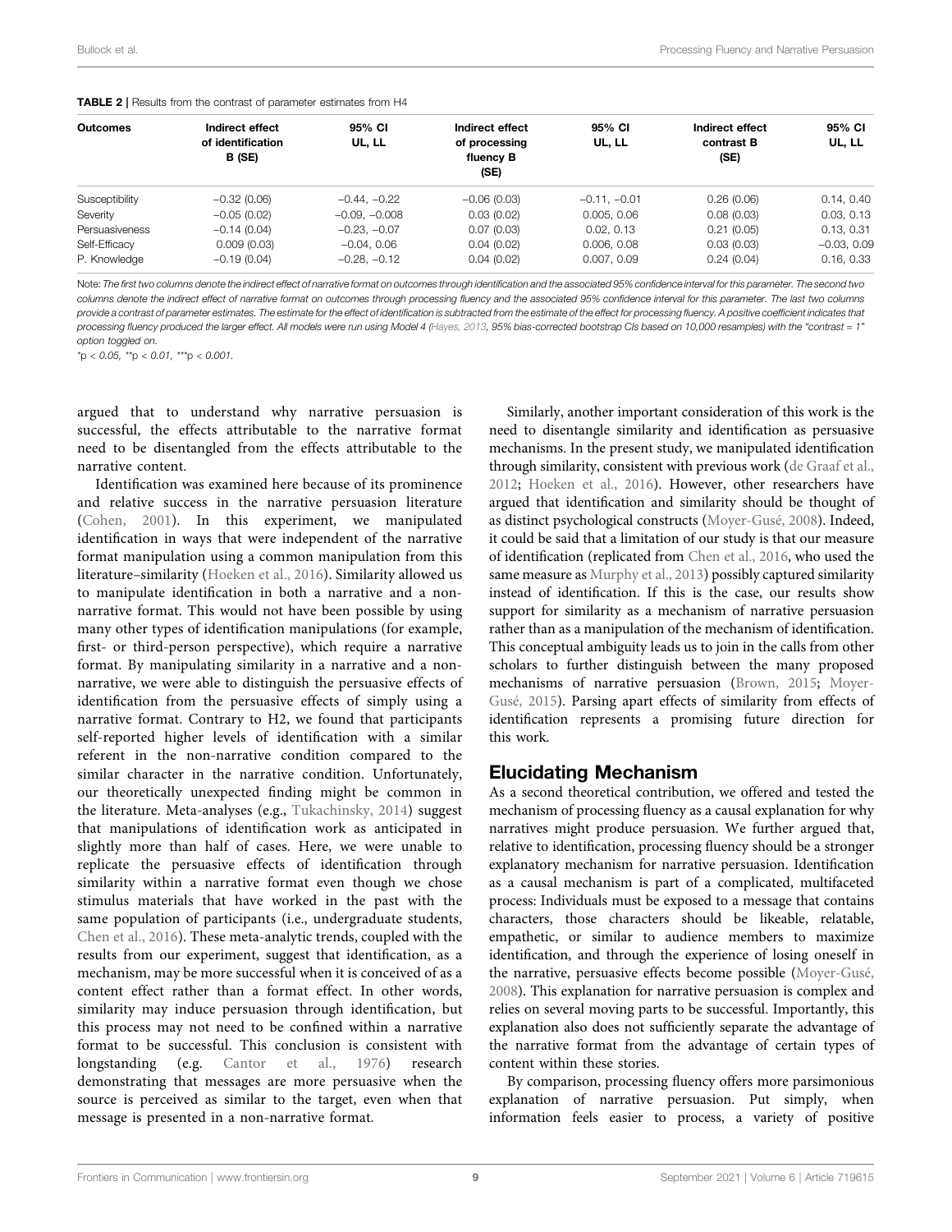| <b>Outcomes</b> | Indirect effect<br>of identification<br>B (SE) | 95% CI<br>UL, LL | Indirect effect<br>of processing<br>fluency B<br>(SE) | 95% CI<br>UL, LL | Indirect effect<br>contrast B<br>(SE) | 95% CI<br>UL, LL |
|-----------------|------------------------------------------------|------------------|-------------------------------------------------------|------------------|---------------------------------------|------------------|
| Susceptibility  | $-0.32(0.06)$                                  | $-0.44, -0.22$   | $-0.06(0.03)$                                         | $-0.11, -0.01$   | 0.26(0.06)                            | 0.14, 0.40       |
| Severity        | $-0.05(0.02)$                                  | $-0.09, -0.008$  | 0.03(0.02)                                            | 0.005, 0.06      | 0.08(0.03)                            | 0.03, 0.13       |
| Persuasiveness  | $-0.14(0.04)$                                  | $-0.23, -0.07$   | 0.07(0.03)                                            | 0.02, 0.13       | 0.21(0.05)                            | 0.13, 0.31       |
| Self-Efficacy   | 0.009(0.03)                                    | $-0.04, 0.06$    | 0.04(0.02)                                            | 0.006, 0.08      | 0.03(0.03)                            | $-0.03, 0.09$    |
| P. Knowledge    | $-0.19(0.04)$                                  | $-0.28, -0.12$   | 0.04(0.02)                                            | 0.007, 0.09      | 0.24(0.04)                            | 0.16, 0.33       |

TABLE 2 | Results from the contrast of parameter estimates from H4

Note: The first two columns denote the indirect effect of narrative format on outcomes through identification and the associated 95% confidence interval for this parameter. The second two columns denote the indirect effect of narrative format on outcomes through processing fluency and the associated 95% confidence interval for this parameter. The last two columns provide a contrast of parameter estimates. The estimate for the effect of identification is subtracted from the estimate of the effect for processing fluency. A positive coefficient indicates that processing fluency produced the larger effect. All models were run using Model 4 (Hayes, 2013, 95% bias-corrected bootstrap CIs based on 10,000 resamples) with the "contrast = 1" option toggled on.

 $*p < 0.05$ ,  $*p < 0.01$ ,  $**p < 0.001$ .

argued that to understand why narrative persuasion is successful, the effects attributable to the narrative format need to be disentangled from the effects attributable to the narrative content.

Identification was examined here because of its prominence and relative success in the narrative persuasion literature (Cohen, 2001). In this experiment, we manipulated identification in ways that were independent of the narrative format manipulation using a common manipulation from this literature–similarity (Hoeken et al., 2016). Similarity allowed us to manipulate identification in both a narrative and a nonnarrative format. This would not have been possible by using many other types of identification manipulations (for example, first- or third-person perspective), which require a narrative format. By manipulating similarity in a narrative and a nonnarrative, we were able to distinguish the persuasive effects of identification from the persuasive effects of simply using a narrative format. Contrary to H2, we found that participants self-reported higher levels of identification with a similar referent in the non-narrative condition compared to the similar character in the narrative condition. Unfortunately, our theoretically unexpected finding might be common in the literature. Meta-analyses (e.g., Tukachinsky, 2014) suggest that manipulations of identification work as anticipated in slightly more than half of cases. Here, we were unable to replicate the persuasive effects of identification through similarity within a narrative format even though we chose stimulus materials that have worked in the past with the same population of participants (i.e., undergraduate students, Chen et al., 2016). These meta-analytic trends, coupled with the results from our experiment, suggest that identification, as a mechanism, may be more successful when it is conceived of as a content effect rather than a format effect. In other words, similarity may induce persuasion through identification, but this process may not need to be confined within a narrative format to be successful. This conclusion is consistent with longstanding (e.g. Cantor et al., 1976) research demonstrating that messages are more persuasive when the source is perceived as similar to the target, even when that message is presented in a non-narrative format.

Similarly, another important consideration of this work is the need to disentangle similarity and identification as persuasive mechanisms. In the present study, we manipulated identification through similarity, consistent with previous work (de Graaf et al., 2012; Hoeken et al., 2016). However, other researchers have argued that identification and similarity should be thought of as distinct psychological constructs (Moyer-Gusé, 2008). Indeed, it could be said that a limitation of our study is that our measure of identification (replicated from Chen et al., 2016, who used the same measure as Murphy et al., 2013) possibly captured similarity instead of identification. If this is the case, our results show support for similarity as a mechanism of narrative persuasion rather than as a manipulation of the mechanism of identification. This conceptual ambiguity leads us to join in the calls from other scholars to further distinguish between the many proposed mechanisms of narrative persuasion (Brown, 2015; Moyer-Gusé, 2015). Parsing apart effects of similarity from effects of identification represents a promising future direction for this work.

### Elucidating Mechanism

As a second theoretical contribution, we offered and tested the mechanism of processing fluency as a causal explanation for why narratives might produce persuasion. We further argued that, relative to identification, processing fluency should be a stronger explanatory mechanism for narrative persuasion. Identification as a causal mechanism is part of a complicated, multifaceted process: Individuals must be exposed to a message that contains characters, those characters should be likeable, relatable, empathetic, or similar to audience members to maximize identification, and through the experience of losing oneself in the narrative, persuasive effects become possible (Moyer-Gusé, 2008). This explanation for narrative persuasion is complex and relies on several moving parts to be successful. Importantly, this explanation also does not sufficiently separate the advantage of the narrative format from the advantage of certain types of content within these stories.

By comparison, processing fluency offers more parsimonious explanation of narrative persuasion. Put simply, when information feels easier to process, a variety of positive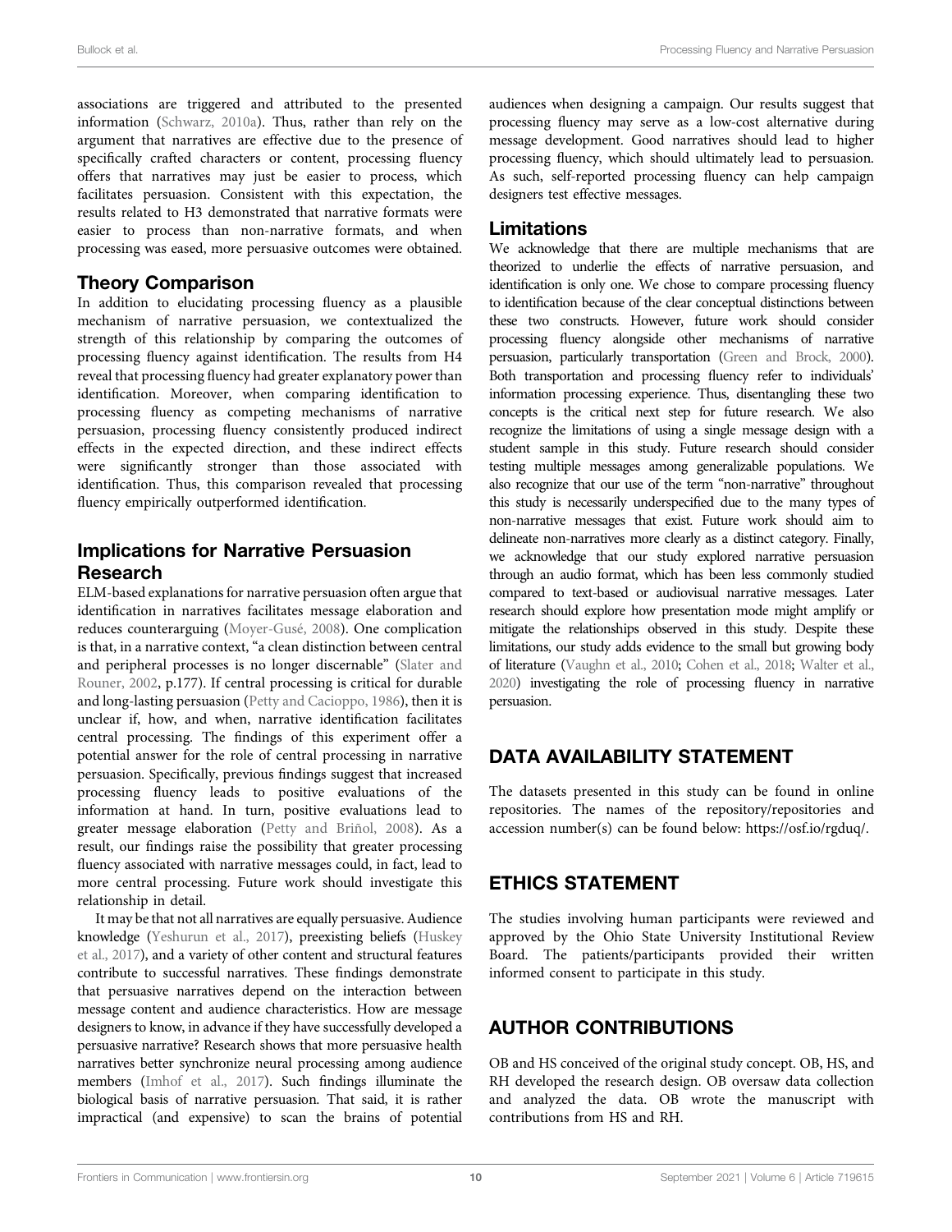associations are triggered and attributed to the presented information (Schwarz, 2010a). Thus, rather than rely on the argument that narratives are effective due to the presence of specifically crafted characters or content, processing fluency offers that narratives may just be easier to process, which facilitates persuasion. Consistent with this expectation, the results related to H3 demonstrated that narrative formats were easier to process than non-narrative formats, and when processing was eased, more persuasive outcomes were obtained.

### Theory Comparison

In addition to elucidating processing fluency as a plausible mechanism of narrative persuasion, we contextualized the strength of this relationship by comparing the outcomes of processing fluency against identification. The results from H4 reveal that processing fluency had greater explanatory power than identification. Moreover, when comparing identification to processing fluency as competing mechanisms of narrative persuasion, processing fluency consistently produced indirect effects in the expected direction, and these indirect effects were significantly stronger than those associated with identification. Thus, this comparison revealed that processing fluency empirically outperformed identification.

# Implications for Narrative Persuasion Research

ELM-based explanations for narrative persuasion often argue that identification in narratives facilitates message elaboration and reduces counterarguing (Moyer-Gusé, 2008). One complication is that, in a narrative context, "a clean distinction between central and peripheral processes is no longer discernable" (Slater and Rouner, 2002, p.177). If central processing is critical for durable and long-lasting persuasion (Petty and Cacioppo, 1986), then it is unclear if, how, and when, narrative identification facilitates central processing. The findings of this experiment offer a potential answer for the role of central processing in narrative persuasion. Specifically, previous findings suggest that increased processing fluency leads to positive evaluations of the information at hand. In turn, positive evaluations lead to greater message elaboration (Petty and Briñol, 2008). As a result, our findings raise the possibility that greater processing fluency associated with narrative messages could, in fact, lead to more central processing. Future work should investigate this relationship in detail.

It may be that not all narratives are equally persuasive. Audience knowledge (Yeshurun et al., 2017), preexisting beliefs (Huskey et al., 2017), and a variety of other content and structural features contribute to successful narratives. These findings demonstrate that persuasive narratives depend on the interaction between message content and audience characteristics. How are message designers to know, in advance if they have successfully developed a persuasive narrative? Research shows that more persuasive health narratives better synchronize neural processing among audience members (Imhof et al., 2017). Such findings illuminate the biological basis of narrative persuasion. That said, it is rather impractical (and expensive) to scan the brains of potential

audiences when designing a campaign. Our results suggest that processing fluency may serve as a low-cost alternative during message development. Good narratives should lead to higher processing fluency, which should ultimately lead to persuasion. As such, self-reported processing fluency can help campaign designers test effective messages.

### Limitations

We acknowledge that there are multiple mechanisms that are theorized to underlie the effects of narrative persuasion, and identification is only one. We chose to compare processing fluency to identification because of the clear conceptual distinctions between these two constructs. However, future work should consider processing fluency alongside other mechanisms of narrative persuasion, particularly transportation (Green and Brock, 2000). Both transportation and processing fluency refer to individuals' information processing experience. Thus, disentangling these two concepts is the critical next step for future research. We also recognize the limitations of using a single message design with a student sample in this study. Future research should consider testing multiple messages among generalizable populations. We also recognize that our use of the term "non-narrative" throughout this study is necessarily underspecified due to the many types of non-narrative messages that exist. Future work should aim to delineate non-narratives more clearly as a distinct category. Finally, we acknowledge that our study explored narrative persuasion through an audio format, which has been less commonly studied compared to text-based or audiovisual narrative messages. Later research should explore how presentation mode might amplify or mitigate the relationships observed in this study. Despite these limitations, our study adds evidence to the small but growing body of literature (Vaughn et al., 2010; Cohen et al., 2018; Walter et al., 2020) investigating the role of processing fluency in narrative persuasion.

# DATA AVAILABILITY STATEMENT

The datasets presented in this study can be found in online repositories. The names of the repository/repositories and accession number(s) can be found below: https://osf.io/rgduq/.

# ETHICS STATEMENT

The studies involving human participants were reviewed and approved by the Ohio State University Institutional Review Board. The patients/participants provided their written informed consent to participate in this study.

# AUTHOR CONTRIBUTIONS

OB and HS conceived of the original study concept. OB, HS, and RH developed the research design. OB oversaw data collection and analyzed the data. OB wrote the manuscript with contributions from HS and RH.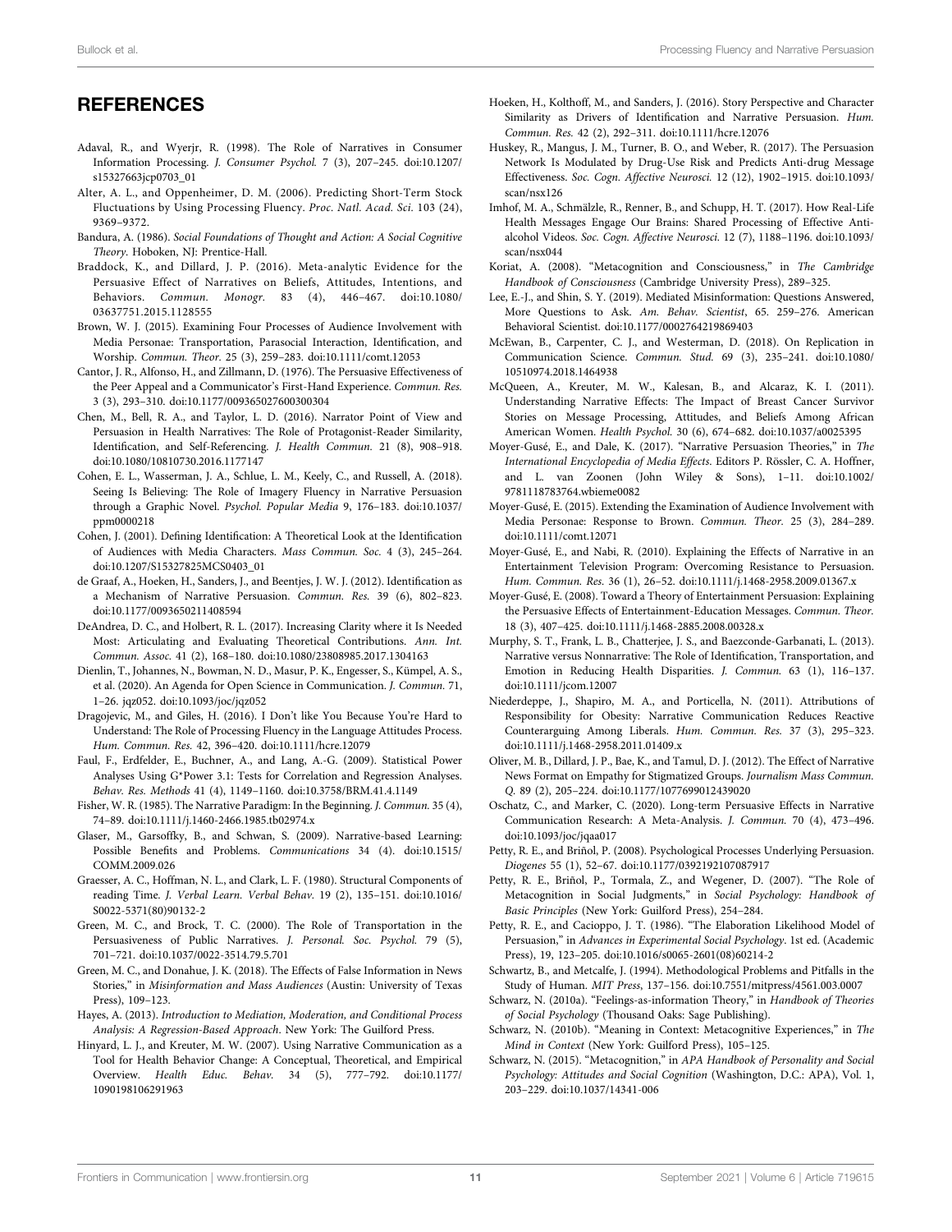### **REFERENCES**

- Adaval, R., and Wyerjr, R. (1998). The Role of Narratives in Consumer Information Processing. J. Consumer Psychol. 7 (3), 207–245. doi:10.1207/ s15327663jcp0703\_01
- Alter, A. L., and Oppenheimer, D. M. (2006). Predicting Short-Term Stock Fluctuations by Using Processing Fluency. Proc. Natl. Acad. Sci. 103 (24), 9369–9372.
- Bandura, A. (1986). Social Foundations of Thought and Action: A Social Cognitive Theory. Hoboken, NJ: Prentice-Hall.
- Braddock, K., and Dillard, J. P. (2016). Meta-analytic Evidence for the Persuasive Effect of Narratives on Beliefs, Attitudes, Intentions, and Behaviors. Commun. Monogr. 83 (4), 446–467. doi:10.1080/ 03637751.2015.1128555
- Brown, W. J. (2015). Examining Four Processes of Audience Involvement with Media Personae: Transportation, Parasocial Interaction, Identification, and Worship. Commun. Theor. 25 (3), 259–283. doi:10.1111/comt.12053
- Cantor, J. R., Alfonso, H., and Zillmann, D. (1976). The Persuasive Effectiveness of the Peer Appeal and a Communicator's First-Hand Experience. Commun. Res. 3 (3), 293–310. doi:10.1177/009365027600300304
- Chen, M., Bell, R. A., and Taylor, L. D. (2016). Narrator Point of View and Persuasion in Health Narratives: The Role of Protagonist-Reader Similarity, Identification, and Self-Referencing. J. Health Commun. 21 (8), 908–918. doi:10.1080/10810730.2016.1177147
- Cohen, E. L., Wasserman, J. A., Schlue, L. M., Keely, C., and Russell, A. (2018). Seeing Is Believing: The Role of Imagery Fluency in Narrative Persuasion through a Graphic Novel. Psychol. Popular Media 9, 176–183. doi:10.1037/ ppm0000218
- Cohen, J. (2001). Defining Identification: A Theoretical Look at the Identification of Audiences with Media Characters. Mass Commun. Soc. 4 (3), 245–264. doi:10.1207/S15327825MCS0403\_01
- de Graaf, A., Hoeken, H., Sanders, J., and Beentjes, J. W. J. (2012). Identification as a Mechanism of Narrative Persuasion. Commun. Res. 39 (6), 802–823. doi:10.1177/0093650211408594
- DeAndrea, D. C., and Holbert, R. L. (2017). Increasing Clarity where it Is Needed Most: Articulating and Evaluating Theoretical Contributions. Ann. Int. Commun. Assoc. 41 (2), 168–180. doi:10.1080/23808985.2017.1304163
- Dienlin, T., Johannes, N., Bowman, N. D., Masur, P. K., Engesser, S., Kümpel, A. S., et al. (2020). An Agenda for Open Science in Communication. J. Commun. 71, 1–26. jqz052. doi:10.1093/joc/jqz052
- Dragojevic, M., and Giles, H. (2016). I Don't like You Because You're Hard to Understand: The Role of Processing Fluency in the Language Attitudes Process. Hum. Commun. Res. 42, 396–420. doi:10.1111/hcre.12079
- Faul, F., Erdfelder, E., Buchner, A., and Lang, A.-G. (2009). Statistical Power Analyses Using G\*Power 3.1: Tests for Correlation and Regression Analyses. Behav. Res. Methods 41 (4), 1149–1160. doi:10.3758/BRM.41.4.1149
- Fisher, W. R. (1985). The Narrative Paradigm: In the Beginning. J. Commun. 35 (4), 74–89. doi:10.1111/j.1460-2466.1985.tb02974.x
- Glaser, M., Garsoffky, B., and Schwan, S. (2009). Narrative-based Learning: Possible Benefits and Problems. Communications 34 (4). doi:10.1515/ COMM.2009.026
- Graesser, A. C., Hoffman, N. L., and Clark, L. F. (1980). Structural Components of reading Time. J. Verbal Learn. Verbal Behav. 19 (2), 135–151. doi:10.1016/ S0022-5371(80)90132-2
- Green, M. C., and Brock, T. C. (2000). The Role of Transportation in the Persuasiveness of Public Narratives. J. Personal. Soc. Psychol. 79 (5), 701–721. doi:10.1037/0022-3514.79.5.701
- Green, M. C., and Donahue, J. K. (2018). The Effects of False Information in News Stories," in Misinformation and Mass Audiences (Austin: University of Texas Press), 109–123.
- Hayes, A. (2013). Introduction to Mediation, Moderation, and Conditional Process Analysis: A Regression-Based Approach. New York: The Guilford Press.
- Hinyard, L. J., and Kreuter, M. W. (2007). Using Narrative Communication as a Tool for Health Behavior Change: A Conceptual, Theoretical, and Empirical Overview. Health Educ. Behav. 34 (5), 777–792. doi:10.1177/ 1090198106291963
- Hoeken, H., Kolthoff, M., and Sanders, J. (2016). Story Perspective and Character Similarity as Drivers of Identification and Narrative Persuasion. Hum. Commun. Res. 42 (2), 292–311. doi:10.1111/hcre.12076
- Huskey, R., Mangus, J. M., Turner, B. O., and Weber, R. (2017). The Persuasion Network Is Modulated by Drug-Use Risk and Predicts Anti-drug Message Effectiveness. Soc. Cogn. Affective Neurosci. 12 (12), 1902–1915. doi:10.1093/ scan/nsx126
- Imhof, M. A., Schmälzle, R., Renner, B., and Schupp, H. T. (2017). How Real-Life Health Messages Engage Our Brains: Shared Processing of Effective Antialcohol Videos. Soc. Cogn. Affective Neurosci. 12 (7), 1188–1196. doi:10.1093/ scan/nsx044
- Koriat, A. (2008). "Metacognition and Consciousness," in The Cambridge Handbook of Consciousness (Cambridge University Press), 289–325.
- Lee, E.-J., and Shin, S. Y. (2019). Mediated Misinformation: Questions Answered, More Questions to Ask. Am. Behav. Scientist, 65. 259–276. American Behavioral Scientist. doi:10.1177/0002764219869403
- McEwan, B., Carpenter, C. J., and Westerman, D. (2018). On Replication in Communication Science. Commun. Stud. 69 (3), 235–241. doi:10.1080/ 10510974.2018.1464938
- McQueen, A., Kreuter, M. W., Kalesan, B., and Alcaraz, K. I. (2011). Understanding Narrative Effects: The Impact of Breast Cancer Survivor Stories on Message Processing, Attitudes, and Beliefs Among African American Women. Health Psychol. 30 (6), 674–682. doi:10.1037/a0025395
- Moyer-Gusé, E., and Dale, K. (2017). "Narrative Persuasion Theories," in The International Encyclopedia of Media Effects. Editors P. Rössler, C. A. Hoffner, and L. van Zoonen (John Wiley & Sons), 1–11. doi:10.1002/ 9781118783764.wbieme0082
- Moyer-Gusé, E. (2015). Extending the Examination of Audience Involvement with Media Personae: Response to Brown. Commun. Theor. 25 (3), 284–289. doi:10.1111/comt.12071
- Moyer-Gusé, E., and Nabi, R. (2010). Explaining the Effects of Narrative in an Entertainment Television Program: Overcoming Resistance to Persuasion. Hum. Commun. Res. 36 (1), 26–52. doi:10.1111/j.1468-2958.2009.01367.x
- Moyer-Gusé, E. (2008). Toward a Theory of Entertainment Persuasion: Explaining the Persuasive Effects of Entertainment-Education Messages. Commun. Theor. 18 (3), 407–425. doi:10.1111/j.1468-2885.2008.00328.x
- Murphy, S. T., Frank, L. B., Chatterjee, J. S., and Baezconde-Garbanati, L. (2013). Narrative versus Nonnarrative: The Role of Identification, Transportation, and Emotion in Reducing Health Disparities. J. Commun. 63 (1), 116–137. doi:10.1111/jcom.12007
- Niederdeppe, J., Shapiro, M. A., and Porticella, N. (2011). Attributions of Responsibility for Obesity: Narrative Communication Reduces Reactive Counterarguing Among Liberals. Hum. Commun. Res. 37 (3), 295–323. doi:10.1111/j.1468-2958.2011.01409.x
- Oliver, M. B., Dillard, J. P., Bae, K., and Tamul, D. J. (2012). The Effect of Narrative News Format on Empathy for Stigmatized Groups. Journalism Mass Commun. Q. 89 (2), 205–224. doi:10.1177/1077699012439020
- Oschatz, C., and Marker, C. (2020). Long-term Persuasive Effects in Narrative Communication Research: A Meta-Analysis. J. Commun. 70 (4), 473–496. doi:10.1093/joc/jqaa017
- Petty, R. E., and Briñol, P. (2008). Psychological Processes Underlying Persuasion. Diogenes 55 (1), 52–67. doi:10.1177/0392192107087917
- Petty, R. E., Briñol, P., Tormala, Z., and Wegener, D. (2007). "The Role of Metacognition in Social Judgments," in Social Psychology: Handbook of Basic Principles (New York: Guilford Press), 254–284.
- Petty, R. E., and Cacioppo, J. T. (1986). "The Elaboration Likelihood Model of Persuasion," in Advances in Experimental Social Psychology. 1st ed. (Academic Press), 19, 123–205. doi:10.1016/s0065-2601(08)60214-2
- Schwartz, B., and Metcalfe, J. (1994). Methodological Problems and Pitfalls in the Study of Human. MIT Press, 137–156. doi:10.7551/mitpress/4561.003.0007
- Schwarz, N. (2010a). "Feelings-as-information Theory," in Handbook of Theories of Social Psychology (Thousand Oaks: Sage Publishing).
- Schwarz, N. (2010b). "Meaning in Context: Metacognitive Experiences," in The Mind in Context (New York: Guilford Press), 105–125.
- Schwarz, N. (2015). "Metacognition," in APA Handbook of Personality and Social Psychology: Attitudes and Social Cognition (Washington, D.C.: APA), Vol. 1, 203–229. doi:10.1037/14341-006